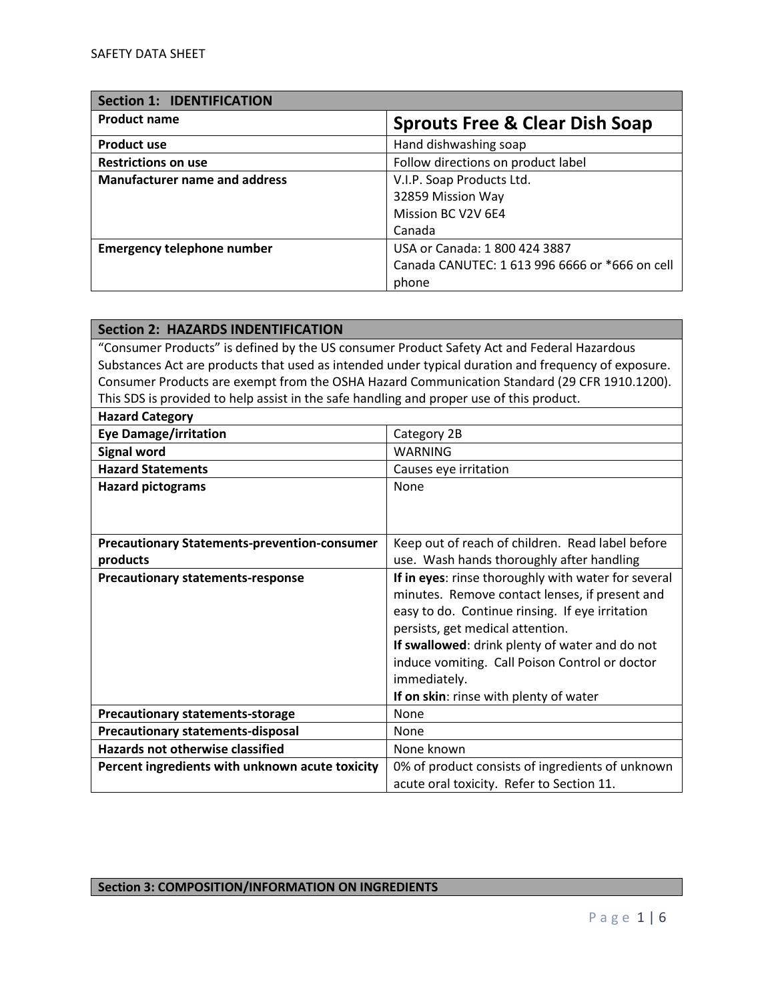| <b>Section 1: IDENTIFICATION</b>     |                                                |
|--------------------------------------|------------------------------------------------|
| <b>Product name</b>                  | <b>Sprouts Free &amp; Clear Dish Soap</b>      |
| <b>Product use</b>                   | Hand dishwashing soap                          |
| <b>Restrictions on use</b>           | Follow directions on product label             |
| <b>Manufacturer name and address</b> | V.I.P. Soap Products Ltd.                      |
|                                      | 32859 Mission Way                              |
|                                      | Mission BC V2V 6E4                             |
|                                      | Canada                                         |
| <b>Emergency telephone number</b>    | USA or Canada: 1 800 424 3887                  |
|                                      | Canada CANUTEC: 1 613 996 6666 or *666 on cell |
|                                      | phone                                          |

| <b>Section 2: HAZARDS INDENTIFICATION</b>                                                  |                                                                                                     |
|--------------------------------------------------------------------------------------------|-----------------------------------------------------------------------------------------------------|
| "Consumer Products" is defined by the US consumer Product Safety Act and Federal Hazardous |                                                                                                     |
|                                                                                            | Substances Act are products that used as intended under typical duration and frequency of exposure. |
|                                                                                            | Consumer Products are exempt from the OSHA Hazard Communication Standard (29 CFR 1910.1200).        |
| This SDS is provided to help assist in the safe handling and proper use of this product.   |                                                                                                     |
| <b>Hazard Category</b>                                                                     |                                                                                                     |
| <b>Eye Damage/irritation</b>                                                               | Category 2B                                                                                         |
| <b>Signal word</b>                                                                         | <b>WARNING</b>                                                                                      |
| <b>Hazard Statements</b>                                                                   | Causes eye irritation                                                                               |
| <b>Hazard pictograms</b>                                                                   | None                                                                                                |
|                                                                                            |                                                                                                     |
|                                                                                            |                                                                                                     |
| <b>Precautionary Statements-prevention-consumer</b>                                        | Keep out of reach of children. Read label before                                                    |
| products                                                                                   | use. Wash hands thoroughly after handling                                                           |
| <b>Precautionary statements-response</b>                                                   | If in eyes: rinse thoroughly with water for several                                                 |
|                                                                                            | minutes. Remove contact lenses, if present and                                                      |
|                                                                                            | easy to do. Continue rinsing. If eye irritation                                                     |
|                                                                                            | persists, get medical attention.                                                                    |
|                                                                                            | If swallowed: drink plenty of water and do not                                                      |
|                                                                                            | induce vomiting. Call Poison Control or doctor                                                      |
|                                                                                            | immediately.                                                                                        |
|                                                                                            | If on skin: rinse with plenty of water                                                              |
| <b>Precautionary statements-storage</b>                                                    | None                                                                                                |
| <b>Precautionary statements-disposal</b>                                                   | None                                                                                                |
| <b>Hazards not otherwise classified</b>                                                    | None known                                                                                          |
| Percent ingredients with unknown acute toxicity                                            | 0% of product consists of ingredients of unknown                                                    |
|                                                                                            | acute oral toxicity. Refer to Section 11.                                                           |

## **Section 3: COMPOSITION/INFORMATION ON INGREDIENTS**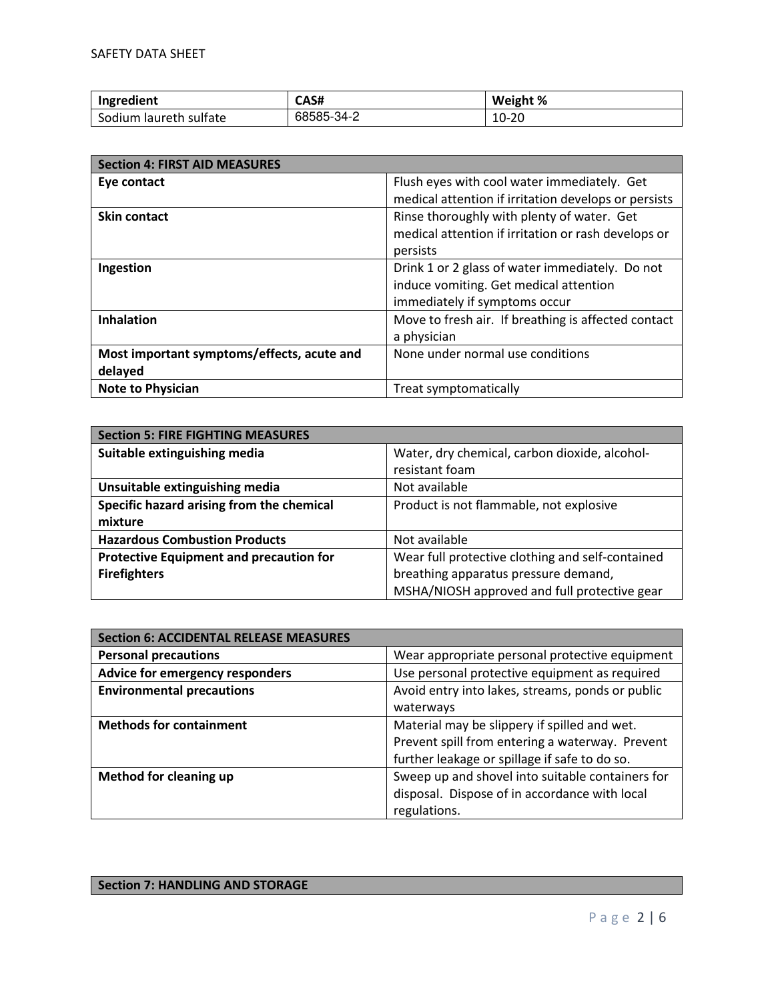| Ingredient                | CAS#       | Weight % |
|---------------------------|------------|----------|
| Iaureth sulfate<br>Sodium | 68585-34-2 | 10-20    |

| <b>Section 4: FIRST AID MEASURES</b>       |                                                      |
|--------------------------------------------|------------------------------------------------------|
| Eye contact                                | Flush eyes with cool water immediately. Get          |
|                                            | medical attention if irritation develops or persists |
| <b>Skin contact</b>                        | Rinse thoroughly with plenty of water. Get           |
|                                            | medical attention if irritation or rash develops or  |
|                                            | persists                                             |
| Ingestion                                  | Drink 1 or 2 glass of water immediately. Do not      |
|                                            | induce vomiting. Get medical attention               |
|                                            | immediately if symptoms occur                        |
| <b>Inhalation</b>                          | Move to fresh air. If breathing is affected contact  |
|                                            | a physician                                          |
| Most important symptoms/effects, acute and | None under normal use conditions                     |
| delayed                                    |                                                      |
| <b>Note to Physician</b>                   | Treat symptomatically                                |

| <b>Section 5: FIRE FIGHTING MEASURES</b>       |                                                  |
|------------------------------------------------|--------------------------------------------------|
| Suitable extinguishing media                   | Water, dry chemical, carbon dioxide, alcohol-    |
|                                                | resistant foam                                   |
| Unsuitable extinguishing media                 | Not available                                    |
| Specific hazard arising from the chemical      | Product is not flammable, not explosive          |
| mixture                                        |                                                  |
| <b>Hazardous Combustion Products</b>           | Not available                                    |
| <b>Protective Equipment and precaution for</b> | Wear full protective clothing and self-contained |
| <b>Firefighters</b>                            | breathing apparatus pressure demand,             |
|                                                | MSHA/NIOSH approved and full protective gear     |

| <b>Section 6: ACCIDENTAL RELEASE MEASURES</b> |                                                  |
|-----------------------------------------------|--------------------------------------------------|
| <b>Personal precautions</b>                   | Wear appropriate personal protective equipment   |
| Advice for emergency responders               | Use personal protective equipment as required    |
| <b>Environmental precautions</b>              | Avoid entry into lakes, streams, ponds or public |
|                                               | waterways                                        |
| <b>Methods for containment</b>                | Material may be slippery if spilled and wet.     |
|                                               | Prevent spill from entering a waterway. Prevent  |
|                                               | further leakage or spillage if safe to do so.    |
| <b>Method for cleaning up</b>                 | Sweep up and shovel into suitable containers for |
|                                               | disposal. Dispose of in accordance with local    |
|                                               | regulations.                                     |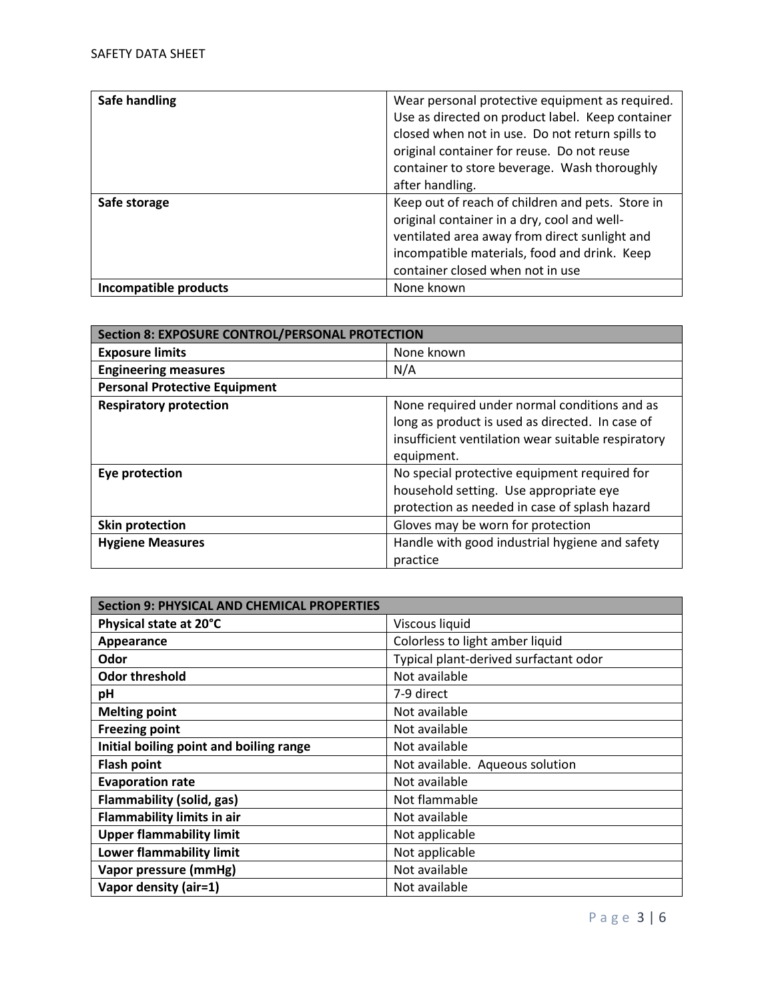| Safe handling         | Wear personal protective equipment as required.  |
|-----------------------|--------------------------------------------------|
|                       | Use as directed on product label. Keep container |
|                       | closed when not in use. Do not return spills to  |
|                       | original container for reuse. Do not reuse       |
|                       | container to store beverage. Wash thoroughly     |
|                       | after handling.                                  |
| Safe storage          | Keep out of reach of children and pets. Store in |
|                       | original container in a dry, cool and well-      |
|                       | ventilated area away from direct sunlight and    |
|                       | incompatible materials, food and drink. Keep     |
|                       | container closed when not in use                 |
| Incompatible products | None known                                       |

| <b>Section 8: EXPOSURE CONTROL/PERSONAL PROTECTION</b> |                                                    |
|--------------------------------------------------------|----------------------------------------------------|
| <b>Exposure limits</b>                                 | None known                                         |
| <b>Engineering measures</b>                            | N/A                                                |
| <b>Personal Protective Equipment</b>                   |                                                    |
| <b>Respiratory protection</b>                          | None required under normal conditions and as       |
|                                                        | long as product is used as directed. In case of    |
|                                                        | insufficient ventilation wear suitable respiratory |
|                                                        | equipment.                                         |
| Eye protection                                         | No special protective equipment required for       |
|                                                        | household setting. Use appropriate eye             |
|                                                        | protection as needed in case of splash hazard      |
| <b>Skin protection</b>                                 | Gloves may be worn for protection                  |
| <b>Hygiene Measures</b>                                | Handle with good industrial hygiene and safety     |
|                                                        | practice                                           |

| <b>Section 9: PHYSICAL AND CHEMICAL PROPERTIES</b> |                                       |
|----------------------------------------------------|---------------------------------------|
| Physical state at 20°C                             | Viscous liquid                        |
| Appearance                                         | Colorless to light amber liquid       |
| Odor                                               | Typical plant-derived surfactant odor |
| <b>Odor threshold</b>                              | Not available                         |
| рH                                                 | 7-9 direct                            |
| <b>Melting point</b>                               | Not available                         |
| <b>Freezing point</b>                              | Not available                         |
| Initial boiling point and boiling range            | Not available                         |
| <b>Flash point</b>                                 | Not available. Aqueous solution       |
| <b>Evaporation rate</b>                            | Not available                         |
| Flammability (solid, gas)                          | Not flammable                         |
| <b>Flammability limits in air</b>                  | Not available                         |
| <b>Upper flammability limit</b>                    | Not applicable                        |
| Lower flammability limit                           | Not applicable                        |
| Vapor pressure (mmHg)                              | Not available                         |
| Vapor density (air=1)                              | Not available                         |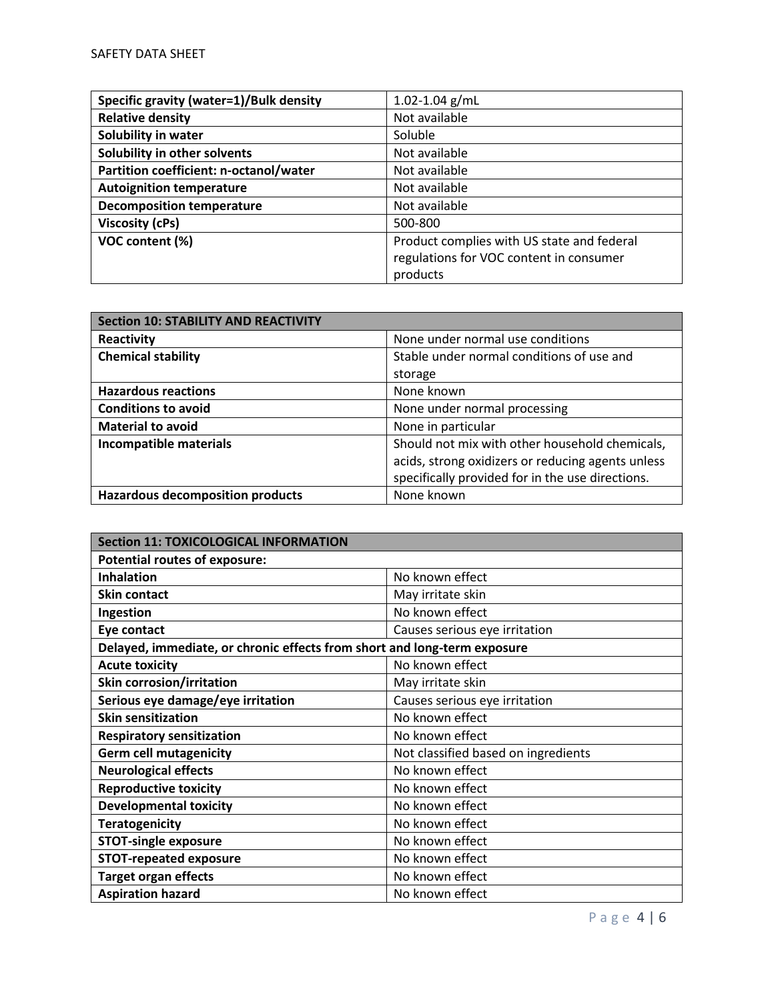| Specific gravity (water=1)/Bulk density | $1.02 - 1.04$ g/mL                         |
|-----------------------------------------|--------------------------------------------|
| <b>Relative density</b>                 | Not available                              |
| Solubility in water                     | Soluble                                    |
| Solubility in other solvents            | Not available                              |
| Partition coefficient: n-octanol/water  | Not available                              |
| <b>Autoignition temperature</b>         | Not available                              |
| <b>Decomposition temperature</b>        | Not available                              |
| Viscosity (cPs)                         | 500-800                                    |
| VOC content (%)                         | Product complies with US state and federal |
|                                         | regulations for VOC content in consumer    |
|                                         | products                                   |

| <b>Section 10: STABILITY AND REACTIVITY</b> |                                                   |
|---------------------------------------------|---------------------------------------------------|
| Reactivity                                  | None under normal use conditions                  |
| <b>Chemical stability</b>                   | Stable under normal conditions of use and         |
|                                             | storage                                           |
| <b>Hazardous reactions</b>                  | None known                                        |
| <b>Conditions to avoid</b>                  | None under normal processing                      |
| <b>Material to avoid</b>                    | None in particular                                |
| Incompatible materials                      | Should not mix with other household chemicals,    |
|                                             | acids, strong oxidizers or reducing agents unless |
|                                             | specifically provided for in the use directions.  |
| <b>Hazardous decomposition products</b>     | None known                                        |

| <b>Section 11: TOXICOLOGICAL INFORMATION</b>                             |                                     |
|--------------------------------------------------------------------------|-------------------------------------|
| <b>Potential routes of exposure:</b>                                     |                                     |
| <b>Inhalation</b>                                                        | No known effect                     |
| <b>Skin contact</b>                                                      | May irritate skin                   |
| Ingestion                                                                | No known effect                     |
| Eye contact                                                              | Causes serious eye irritation       |
| Delayed, immediate, or chronic effects from short and long-term exposure |                                     |
| <b>Acute toxicity</b>                                                    | No known effect                     |
| <b>Skin corrosion/irritation</b>                                         | May irritate skin                   |
| Serious eye damage/eye irritation                                        | Causes serious eye irritation       |
| <b>Skin sensitization</b>                                                | No known effect                     |
| <b>Respiratory sensitization</b>                                         | No known effect                     |
| <b>Germ cell mutagenicity</b>                                            | Not classified based on ingredients |
| <b>Neurological effects</b>                                              | No known effect                     |
| <b>Reproductive toxicity</b>                                             | No known effect                     |
| <b>Developmental toxicity</b>                                            | No known effect                     |
| <b>Teratogenicity</b>                                                    | No known effect                     |
| <b>STOT-single exposure</b>                                              | No known effect                     |
| <b>STOT-repeated exposure</b>                                            | No known effect                     |
| <b>Target organ effects</b>                                              | No known effect                     |
| <b>Aspiration hazard</b>                                                 | No known effect                     |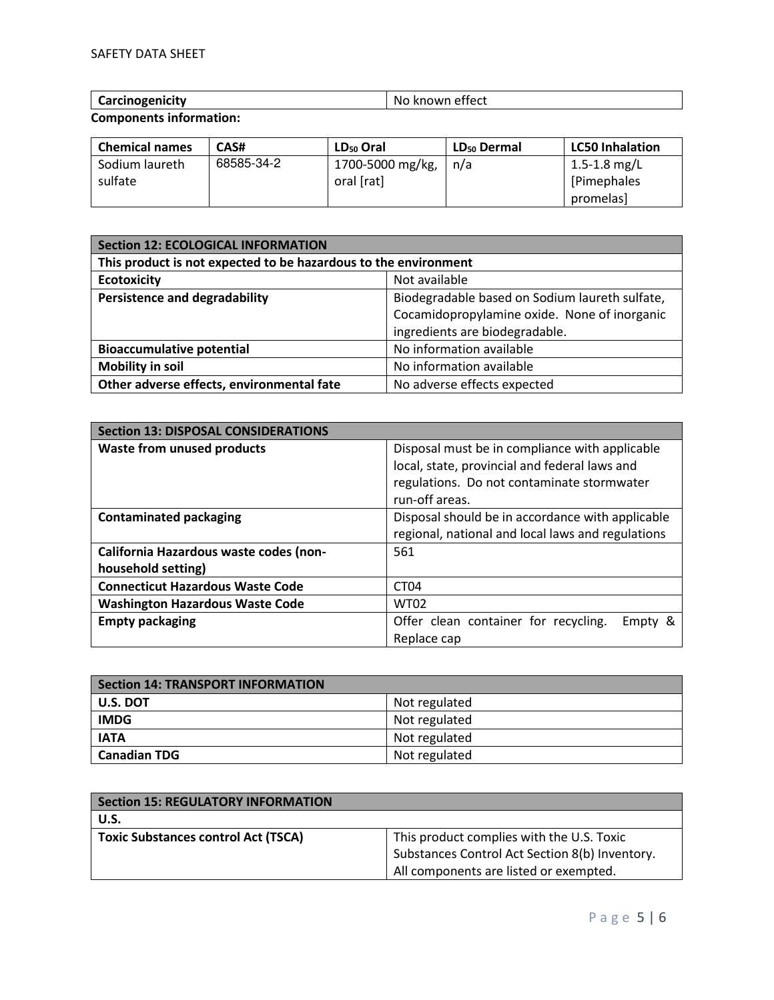| $\sim$<br>----<br>.<br>-No<br>-ure<br>w<br>.<br>ししし<br>. . |
|------------------------------------------------------------|
|------------------------------------------------------------|

**Components information:** 

| <b>Chemical names</b> | CAS#       | LD <sub>50</sub> Oral | LD <sub>50</sub> Dermal | <b>LC50 Inhalation</b> |
|-----------------------|------------|-----------------------|-------------------------|------------------------|
| Sodium laureth        | 68585-34-2 | 1700-5000 mg/kg,      | n/a                     | 1.5-1.8 mg/L           |
| sulfate               |            | oral [rat]            |                         | [Pimephales]           |
|                       |            |                       |                         | promelas]              |

| <b>Section 12: ECOLOGICAL INFORMATION</b>                       |                                                |  |
|-----------------------------------------------------------------|------------------------------------------------|--|
| This product is not expected to be hazardous to the environment |                                                |  |
| <b>Ecotoxicity</b>                                              | Not available                                  |  |
| <b>Persistence and degradability</b>                            | Biodegradable based on Sodium laureth sulfate, |  |
|                                                                 | Cocamidopropylamine oxide. None of inorganic   |  |
|                                                                 | ingredients are biodegradable.                 |  |
| <b>Bioaccumulative potential</b>                                | No information available                       |  |
| <b>Mobility in soil</b>                                         | No information available                       |  |
| Other adverse effects, environmental fate                       | No adverse effects expected                    |  |

| <b>Section 13: DISPOSAL CONSIDERATIONS</b> |                                                   |  |
|--------------------------------------------|---------------------------------------------------|--|
| <b>Waste from unused products</b>          | Disposal must be in compliance with applicable    |  |
|                                            | local, state, provincial and federal laws and     |  |
|                                            | regulations. Do not contaminate stormwater        |  |
|                                            | run-off areas.                                    |  |
| <b>Contaminated packaging</b>              | Disposal should be in accordance with applicable  |  |
|                                            | regional, national and local laws and regulations |  |
| California Hazardous waste codes (non-     | 561                                               |  |
| household setting)                         |                                                   |  |
| <b>Connecticut Hazardous Waste Code</b>    | CT <sub>04</sub>                                  |  |
| <b>Washington Hazardous Waste Code</b>     | <b>WT02</b>                                       |  |
| <b>Empty packaging</b>                     | Offer clean container for recycling.<br>Empty &   |  |
|                                            | Replace cap                                       |  |

| <b>Section 14: TRANSPORT INFORMATION</b> |               |  |
|------------------------------------------|---------------|--|
| U.S. DOT                                 | Not regulated |  |
| <b>IMDG</b>                              | Not regulated |  |
| <b>IATA</b>                              | Not regulated |  |
| <b>Canadian TDG</b>                      | Not regulated |  |

| <b>Section 15: REGULATORY INFORMATION</b>  |                                                |
|--------------------------------------------|------------------------------------------------|
| U.S.                                       |                                                |
| <b>Toxic Substances control Act (TSCA)</b> | This product complies with the U.S. Toxic      |
|                                            | Substances Control Act Section 8(b) Inventory. |
|                                            | All components are listed or exempted.         |